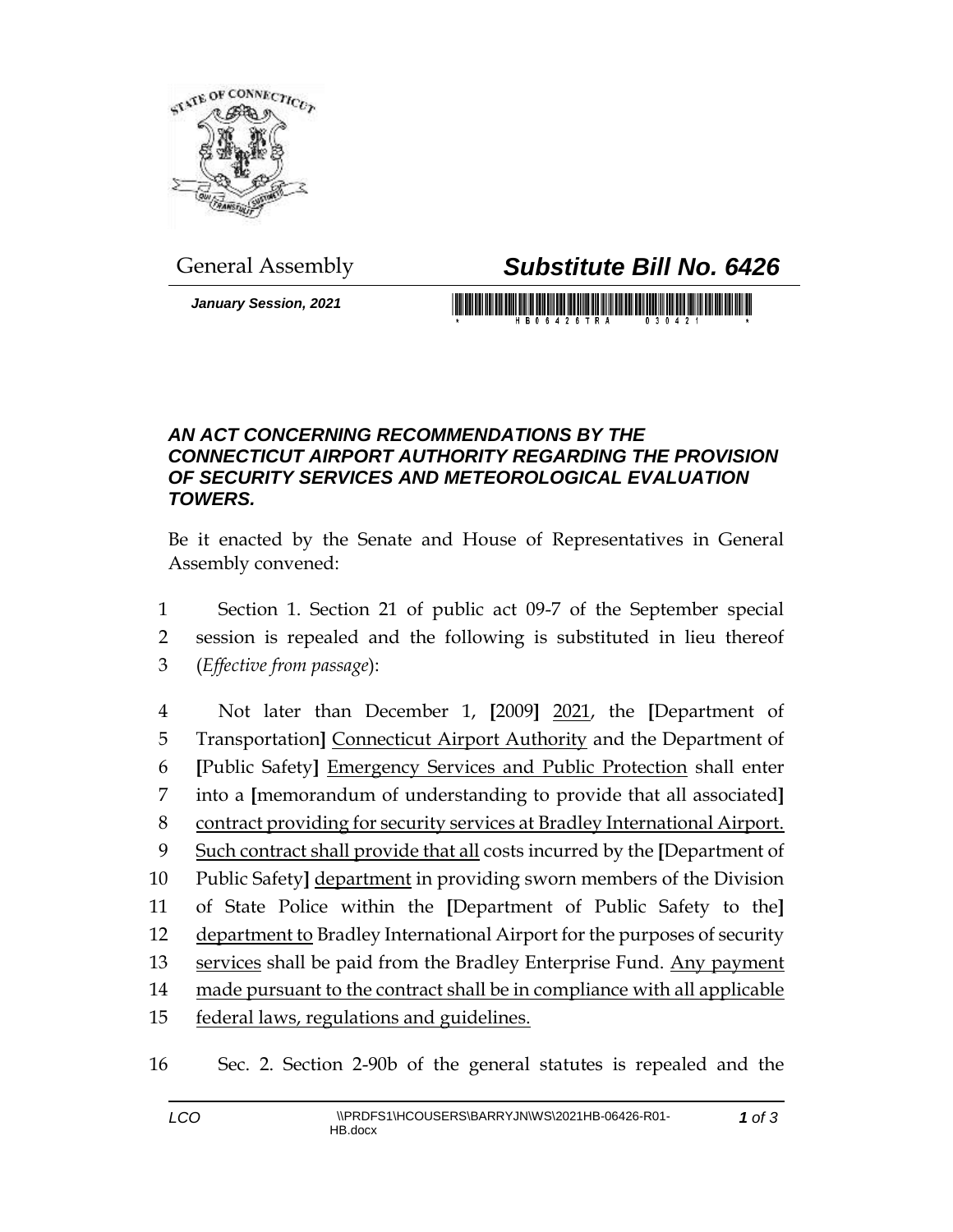

## General Assembly *Substitute Bill No. 6426*

*January Session, 2021*

## *AN ACT CONCERNING RECOMMENDATIONS BY THE CONNECTICUT AIRPORT AUTHORITY REGARDING THE PROVISION OF SECURITY SERVICES AND METEOROLOGICAL EVALUATION TOWERS.*

Be it enacted by the Senate and House of Representatives in General Assembly convened:

1 Section 1. Section 21 of public act 09-7 of the September special 2 session is repealed and the following is substituted in lieu thereof 3 (*Effective from passage*):

 Not later than December 1, **[**2009**]** 2021, the **[**Department of Transportation**]** Connecticut Airport Authority and the Department of **[**Public Safety**]** Emergency Services and Public Protection shall enter into a **[**memorandum of understanding to provide that all associated**]** contract providing for security services at Bradley International Airport. Such contract shall provide that all costs incurred by the **[**Department of Public Safety**]** department in providing sworn members of the Division of State Police within the **[**Department of Public Safety to the**]** department to Bradley International Airport for the purposes of security 13 services shall be paid from the Bradley Enterprise Fund. Any payment 14 made pursuant to the contract shall be in compliance with all applicable federal laws, regulations and guidelines.

16 Sec. 2. Section 2-90b of the general statutes is repealed and the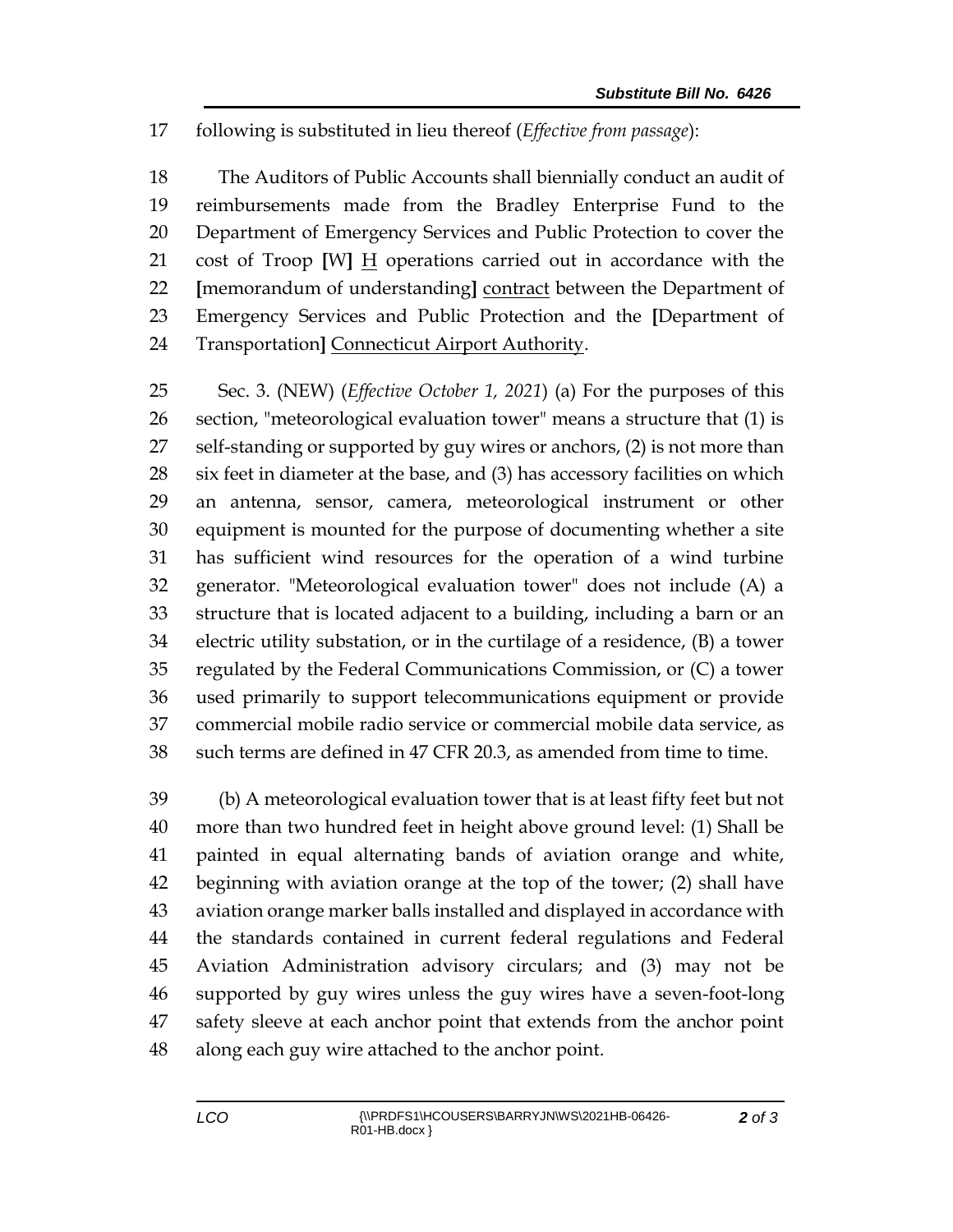following is substituted in lieu thereof (*Effective from passage*):

 The Auditors of Public Accounts shall biennially conduct an audit of reimbursements made from the Bradley Enterprise Fund to the Department of Emergency Services and Public Protection to cover the cost of Troop **[**W**]** H operations carried out in accordance with the **[**memorandum of understanding**]** contract between the Department of Emergency Services and Public Protection and the **[**Department of Transportation**]** Connecticut Airport Authority.

 Sec. 3. (NEW) (*Effective October 1, 2021*) (a) For the purposes of this section, "meteorological evaluation tower" means a structure that (1) is 27 self-standing or supported by guy wires or anchors, (2) is not more than six feet in diameter at the base, and (3) has accessory facilities on which an antenna, sensor, camera, meteorological instrument or other equipment is mounted for the purpose of documenting whether a site has sufficient wind resources for the operation of a wind turbine generator. "Meteorological evaluation tower" does not include (A) a structure that is located adjacent to a building, including a barn or an electric utility substation, or in the curtilage of a residence, (B) a tower regulated by the Federal Communications Commission, or (C) a tower used primarily to support telecommunications equipment or provide commercial mobile radio service or commercial mobile data service, as such terms are defined in 47 CFR 20.3, as amended from time to time.

 (b) A meteorological evaluation tower that is at least fifty feet but not more than two hundred feet in height above ground level: (1) Shall be painted in equal alternating bands of aviation orange and white, beginning with aviation orange at the top of the tower; (2) shall have aviation orange marker balls installed and displayed in accordance with the standards contained in current federal regulations and Federal Aviation Administration advisory circulars; and (3) may not be supported by guy wires unless the guy wires have a seven-foot-long safety sleeve at each anchor point that extends from the anchor point along each guy wire attached to the anchor point.